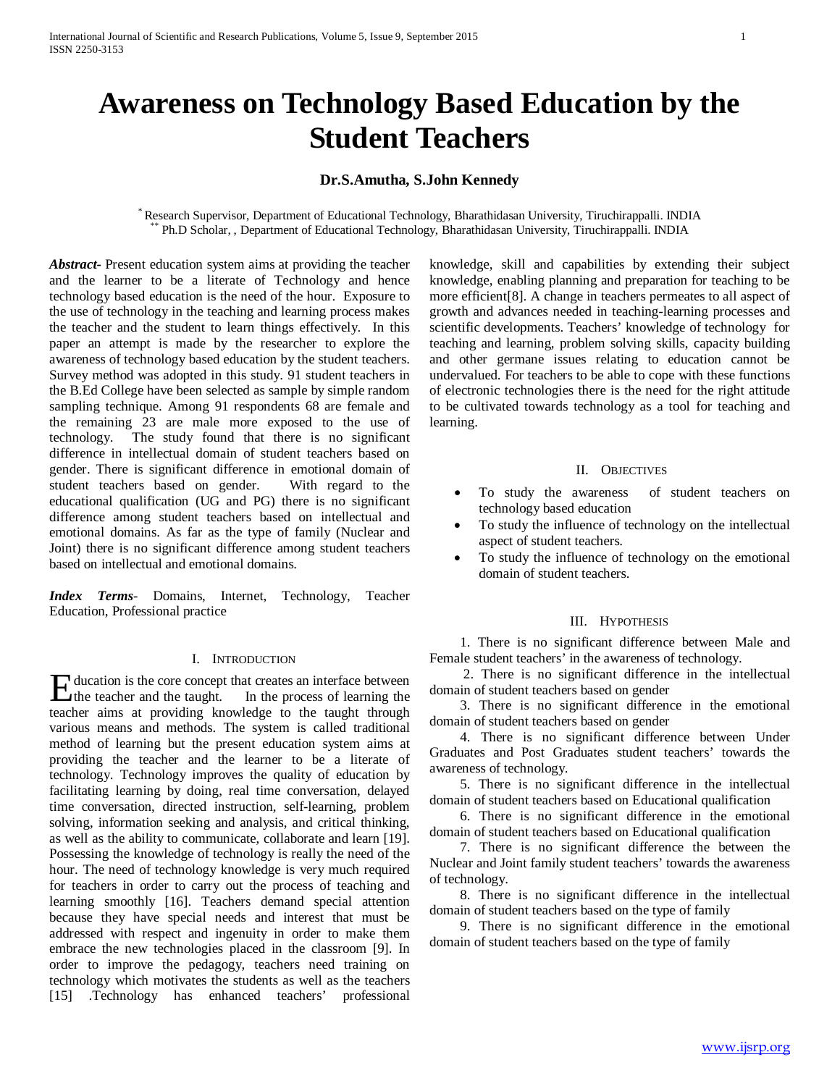# **Awareness on Technology Based Education by the Student Teachers**

# **Dr.S.Amutha, S.John Kennedy**

\* Research Supervisor, Department of Educational Technology, Bharathidasan University, Tiruchirappalli. INDIA \*\* Ph.D Scholar, , Department of Educational Technology, Bharathidasan University, Tiruchirappalli. INDIA

*Abstract***-** Present education system aims at providing the teacher and the learner to be a literate of Technology and hence technology based education is the need of the hour. Exposure to the use of technology in the teaching and learning process makes the teacher and the student to learn things effectively. In this paper an attempt is made by the researcher to explore the awareness of technology based education by the student teachers. Survey method was adopted in this study. 91 student teachers in the B.Ed College have been selected as sample by simple random sampling technique. Among 91 respondents 68 are female and the remaining 23 are male more exposed to the use of technology. The study found that there is no significant difference in intellectual domain of student teachers based on gender. There is significant difference in emotional domain of student teachers based on gender. With regard to the educational qualification (UG and PG) there is no significant difference among student teachers based on intellectual and emotional domains. As far as the type of family (Nuclear and Joint) there is no significant difference among student teachers based on intellectual and emotional domains.

*Index Terms*- Domains, Internet, Technology, Teacher Education, Professional practice

## I. INTRODUCTION

ducation is the core concept that creates an interface between Hucation is the core concept that creates an interface between<br>the teacher and the taught. In the process of learning the teacher aims at providing knowledge to the taught through various means and methods. The system is called traditional method of learning but the present education system aims at providing the teacher and the learner to be a literate of technology. Technology improves the quality of education by facilitating learning by doing, real time conversation, delayed time conversation, directed instruction, self-learning, problem solving, information seeking and analysis, and critical thinking, as well as the ability to communicate, collaborate and learn [19]. Possessing the knowledge of technology is really the need of the hour. The need of technology knowledge is very much required for teachers in order to carry out the process of teaching and learning smoothly [16]. Teachers demand special attention because they have special needs and interest that must be addressed with respect and ingenuity in order to make them embrace the new technologies placed in the classroom [9]. In order to improve the pedagogy, teachers need training on technology which motivates the students as well as the teachers [15] .Technology has enhanced teachers' professional

knowledge, skill and capabilities by extending their subject knowledge, enabling planning and preparation for teaching to be more efficient[8]. A change in teachers permeates to all aspect of growth and advances needed in teaching-learning processes and scientific developments. Teachers' knowledge of technology for teaching and learning, problem solving skills, capacity building and other germane issues relating to education cannot be undervalued. For teachers to be able to cope with these functions of electronic technologies there is the need for the right attitude to be cultivated towards technology as a tool for teaching and learning.

#### II. OBJECTIVES

- To study the awareness of student teachers on technology based education
- To study the influence of technology on the intellectual aspect of student teachers.
- To study the influence of technology on the emotional domain of student teachers.

# III. HYPOTHESIS

 1. There is no significant difference between Male and Female student teachers' in the awareness of technology.

 2. There is no significant difference in the intellectual domain of student teachers based on gender

 3. There is no significant difference in the emotional domain of student teachers based on gender

 4. There is no significant difference between Under Graduates and Post Graduates student teachers' towards the awareness of technology.

 5. There is no significant difference in the intellectual domain of student teachers based on Educational qualification

 6. There is no significant difference in the emotional domain of student teachers based on Educational qualification

 7. There is no significant difference the between the Nuclear and Joint family student teachers' towards the awareness of technology.

 8. There is no significant difference in the intellectual domain of student teachers based on the type of family

 9. There is no significant difference in the emotional domain of student teachers based on the type of family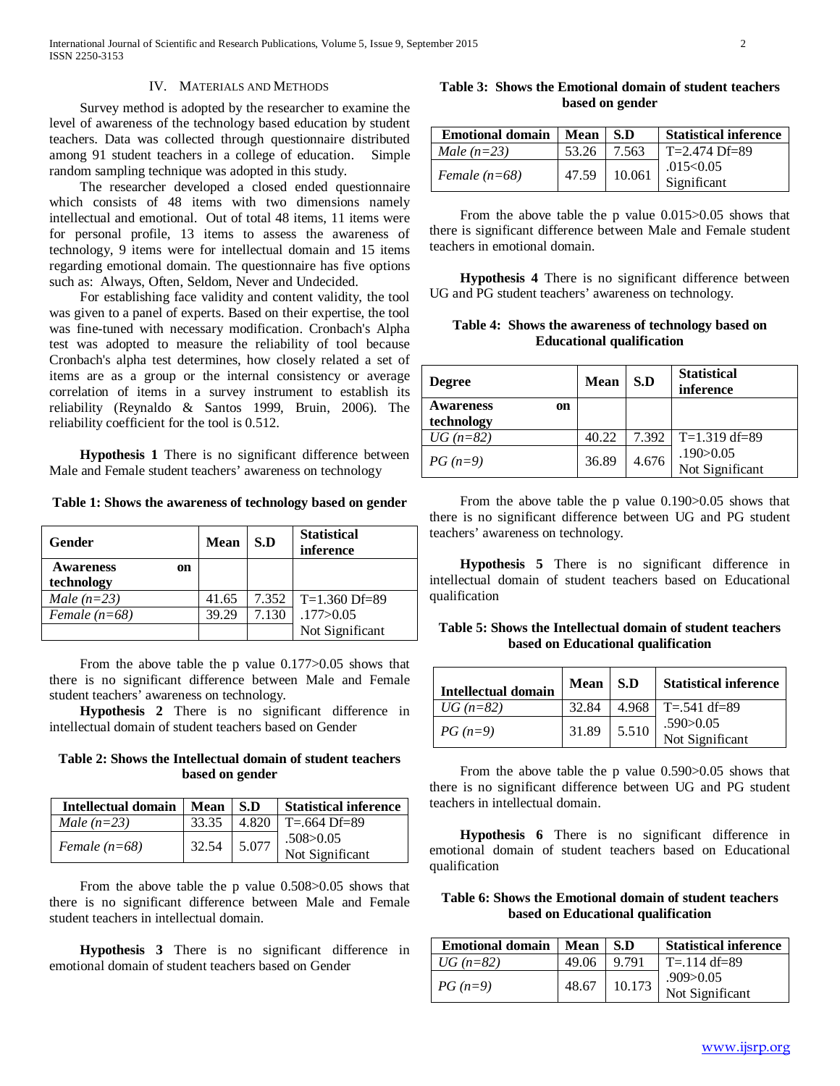## IV. MATERIALS AND METHODS

 Survey method is adopted by the researcher to examine the level of awareness of the technology based education by student teachers. Data was collected through questionnaire distributed among 91 student teachers in a college of education. Simple random sampling technique was adopted in this study.

 The researcher developed a closed ended questionnaire which consists of 48 items with two dimensions namely intellectual and emotional. Out of total 48 items, 11 items were for personal profile, 13 items to assess the awareness of technology, 9 items were for intellectual domain and 15 items regarding emotional domain. The questionnaire has five options such as: Always, Often, Seldom, Never and Undecided.

 For establishing face validity and content validity, the tool was given to a panel of experts. Based on their expertise, the tool was fine-tuned with necessary modification. Cronbach's Alpha test was adopted to measure the reliability of tool because Cronbach's alpha test determines, how closely related a set of items are as a group or the internal consistency or average correlation of items in a survey instrument to establish its reliability (Reynaldo & Santos 1999, Bruin, 2006). The reliability coefficient for the tool is 0.512.

 **Hypothesis 1** There is no significant difference between Male and Female student teachers' awareness on technology

**Table 1: Shows the awareness of technology based on gender**

| Gender                 | Mean  | S.D     | <b>Statistical</b><br>inference |
|------------------------|-------|---------|---------------------------------|
| <b>Awareness</b><br>on |       |         |                                 |
| technology             |       |         |                                 |
| Male $(n=23)$          | 41.65 | 7.352 l | $T=1.360$ Df=89                 |
| Female $(n=68)$        | 39.29 | 7.130   | .177 > 0.05                     |
|                        |       |         | Not Significant                 |

 From the above table the p value 0.177>0.05 shows that there is no significant difference between Male and Female student teachers' awareness on technology.

 **Hypothesis 2** There is no significant difference in intellectual domain of student teachers based on Gender

**Table 2: Shows the Intellectual domain of student teachers based on gender**

| Intellectual domain | Mean  | S.D   | <b>Statistical inference</b>   |
|---------------------|-------|-------|--------------------------------|
| Male $(n=23)$       | 33.35 | 4.820 | $T = 664$ Df=89                |
| Female $(n=68)$     | 32.54 | 5.077 | .508 > 0.05<br>Not Significant |

 From the above table the p value 0.508>0.05 shows that there is no significant difference between Male and Female student teachers in intellectual domain.

 **Hypothesis 3** There is no significant difference in emotional domain of student teachers based on Gender

**Table 3: Shows the Emotional domain of student teachers based on gender**

| <b>Emotional domain</b> | Mean 1 | S.D    | <b>Statistical inference</b> |
|-------------------------|--------|--------|------------------------------|
| Male $(n=23)$           | 53.26  | 7.563  | $T = 2.474$ Df=89            |
| Female $(n=68)$         | 47.59  | 10.061 | .015<0.05<br>Significant     |

 From the above table the p value 0.015>0.05 shows that there is significant difference between Male and Female student teachers in emotional domain.

 **Hypothesis 4** There is no significant difference between UG and PG student teachers' awareness on technology.

**Table 4: Shows the awareness of technology based on Educational qualification**

| <b>Degree</b>                        | <b>Mean</b> | S.D   | <b>Statistical</b><br>inference |
|--------------------------------------|-------------|-------|---------------------------------|
| <b>Awareness</b><br>on<br>technology |             |       |                                 |
| $UG (n = 82)$                        | 40.22       | 7.392 | $T=1.319$ df=89                 |
| <i>PG</i> $(n=9)$                    | 36.89       | 4.676 | .190 > 0.05<br>Not Significant  |

 From the above table the p value 0.190>0.05 shows that there is no significant difference between UG and PG student teachers' awareness on technology.

 **Hypothesis 5** There is no significant difference in intellectual domain of student teachers based on Educational qualification

**Table 5: Shows the Intellectual domain of student teachers based on Educational qualification**

| <b>Intellectual domain</b> | Mean  | -S.D  | <b>Statistical inference</b>   |
|----------------------------|-------|-------|--------------------------------|
| $UG (n = 82)$              | 32.84 |       | 4.968   T=.541 df=89           |
| <i>PG</i> $(n=9)$          | 31.89 | 5.510 | .590 > 0.05<br>Not Significant |

 From the above table the p value 0.590>0.05 shows that there is no significant difference between UG and PG student teachers in intellectual domain.

 **Hypothesis 6** There is no significant difference in emotional domain of student teachers based on Educational qualification

**Table 6: Shows the Emotional domain of student teachers based on Educational qualification**

| Emotional domain   Mean   S.D |       |        | <b>Statistical inference</b> |
|-------------------------------|-------|--------|------------------------------|
| $UG (n = 82)$                 | 49.06 | 9.791  | $T = 114 df = 89$            |
| $PG(n=9)$                     | 48.67 | 10.173 | .909>0.05<br>Not Significant |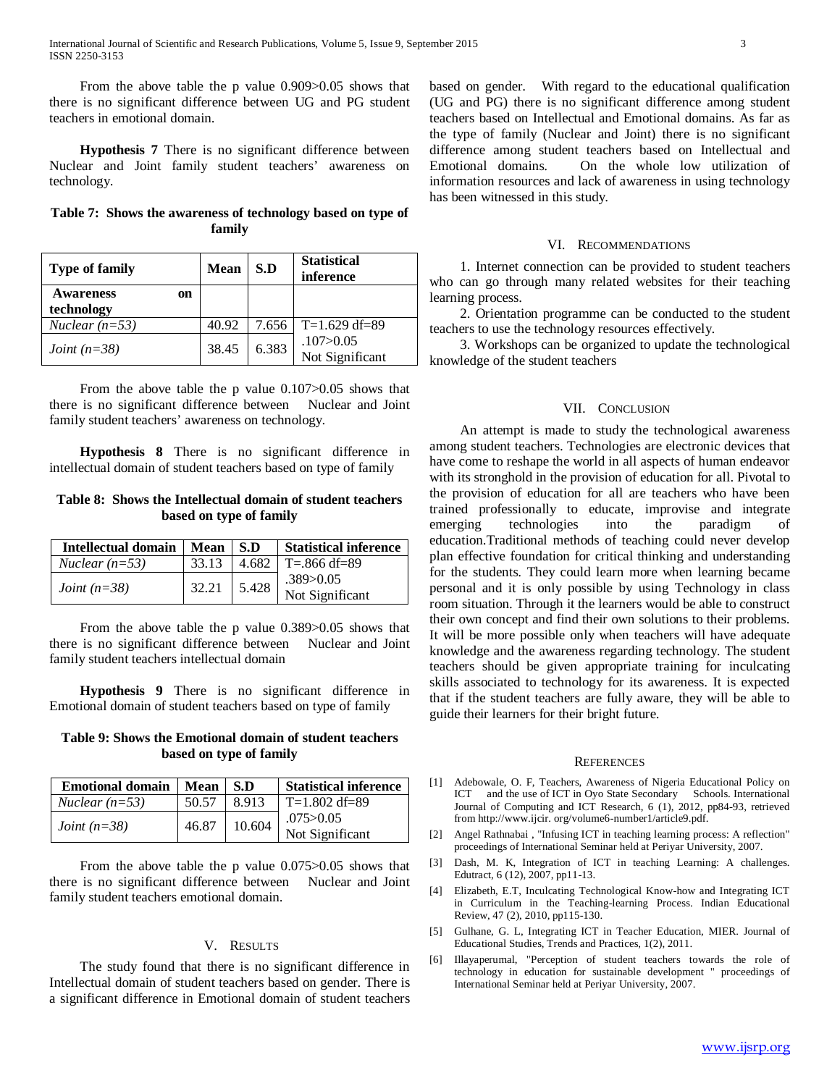From the above table the p value 0.909>0.05 shows that there is no significant difference between UG and PG student teachers in emotional domain.

 **Hypothesis 7** There is no significant difference between Nuclear and Joint family student teachers' awareness on technology.

|  |  |        | Table 7: Shows the awareness of technology based on type of |  |  |
|--|--|--------|-------------------------------------------------------------|--|--|
|  |  | family |                                                             |  |  |

| <b>Type of family</b>                | Mean  | S.D   | <b>Statistical</b><br>inference |
|--------------------------------------|-------|-------|---------------------------------|
| <b>Awareness</b><br>on<br>technology |       |       |                                 |
| Nuclear $(n=53)$                     | 40.92 | 7.656 | $T=1.629$ df=89                 |
| <i>Joint</i> $(n=38)$                | 38.45 | 6.383 | .107 > 0.05<br>Not Significant  |

From the above table the p value 0.107 $>0.05$  shows that there is no significant difference between Nuclear and Joint family student teachers' awareness on technology.

 **Hypothesis 8** There is no significant difference in intellectual domain of student teachers based on type of family

## **Table 8: Shows the Intellectual domain of student teachers based on type of family**

| Intellectual domain   | Mean  | $\blacksquare$ | <b>Statistical inference</b> |
|-----------------------|-------|----------------|------------------------------|
| Nuclear $(n=53)$      | 33.13 | 4.682          | T=.866 df=89                 |
| <i>Joint</i> $(n=38)$ | 32.21 | 5.428          | .389>0.05<br>Not Significant |

 From the above table the p value 0.389>0.05 shows that there is no significant difference between Nuclear and Joint family student teachers intellectual domain

 **Hypothesis 9** There is no significant difference in Emotional domain of student teachers based on type of family

## **Table 9: Shows the Emotional domain of student teachers based on type of family**

| <b>Emotional domain</b> | Mean  | S.D    | <b>Statistical inference</b>   |
|-------------------------|-------|--------|--------------------------------|
| <i>Nuclear</i> $(n=53)$ | 50.57 | 8.913  | $T=1.802$ df=89                |
| <i>Joint</i> $(n=38)$   | 46.87 | 10.604 | .075 > 0.05<br>Not Significant |

 From the above table the p value 0.075>0.05 shows that there is no significant difference between Nuclear and Joint family student teachers emotional domain.

### V. RESULTS

 The study found that there is no significant difference in Intellectual domain of student teachers based on gender. There is a significant difference in Emotional domain of student teachers based on gender. With regard to the educational qualification (UG and PG) there is no significant difference among student teachers based on Intellectual and Emotional domains. As far as the type of family (Nuclear and Joint) there is no significant difference among student teachers based on Intellectual and Emotional domains. On the whole low utilization of information resources and lack of awareness in using technology has been witnessed in this study.

#### VI. RECOMMENDATIONS

 1. Internet connection can be provided to student teachers who can go through many related websites for their teaching learning process.

 2. Orientation programme can be conducted to the student teachers to use the technology resources effectively.

 3. Workshops can be organized to update the technological knowledge of the student teachers

## VII. CONCLUSION

 An attempt is made to study the technological awareness among student teachers. Technologies are electronic devices that have come to reshape the world in all aspects of human endeavor with its stronghold in the provision of education for all. Pivotal to the provision of education for all are teachers who have been trained professionally to educate, improvise and integrate emerging technologies into the paradigm of education.Traditional methods of teaching could never develop plan effective foundation for critical thinking and understanding for the students. They could learn more when learning became personal and it is only possible by using Technology in class room situation. Through it the learners would be able to construct their own concept and find their own solutions to their problems. It will be more possible only when teachers will have adequate knowledge and the awareness regarding technology. The student teachers should be given appropriate training for inculcating skills associated to technology for its awareness. It is expected that if the student teachers are fully aware, they will be able to guide their learners for their bright future.

#### **REFERENCES**

- [1] Adebowale, O. F, Teachers, Awareness of Nigeria Educational Policy on ICT and the use of ICT in Oyo State Secondary Schools. International Journal of Computing and ICT Research, 6 (1), 2012, pp84-93, retrieved from http://www.ijcir. org/volume6-number1/article9.pdf.
- [2] Angel Rathnabai , "Infusing ICT in teaching learning process: A reflection" proceedings of International Seminar held at Periyar University, 2007.
- [3] Dash, M. K, Integration of ICT in teaching Learning: A challenges. Edutract, 6 (12), 2007, pp11-13.
- [4] Elizabeth, E.T, Inculcating Technological Know-how and Integrating ICT in Curriculum in the Teaching-learning Process. Indian Educational Review, 47 (2), 2010, pp115-130.
- [5] Gulhane, G. L, Integrating ICT in Teacher Education, MIER. Journal of Educational Studies, Trends and Practices, 1(2), 2011.
- [6] Illayaperumal, "Perception of student teachers towards the role of technology in education for sustainable development " proceedings of International Seminar held at Periyar University, 2007.